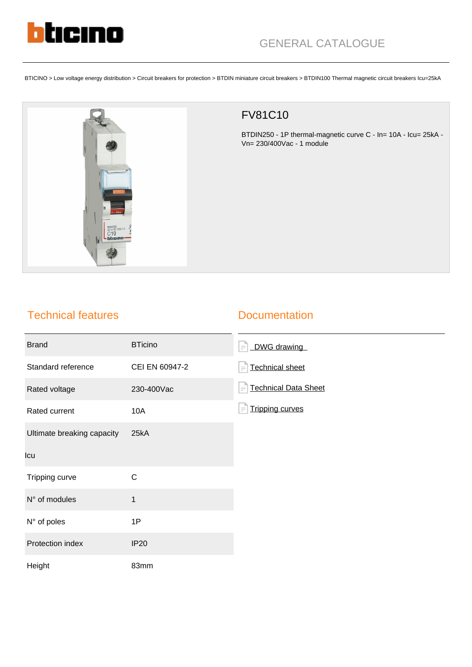

BTICINO > Low voltage energy distribution > Circuit breakers for protection > BTDIN miniature circuit breakers > BTDIN100 Thermal magnetic circuit breakers Icu=25kA



## FV81C10

BTDIN250 - 1P thermal-magnetic curve C - In= 10A - Icu= 25kA - Vn= 230/400Vac - 1 module

## Technical features

## **Documentation**

| <b>Brand</b>               | <b>BTicino</b> | DWG drawing<br>$=$                      |
|----------------------------|----------------|-----------------------------------------|
| Standard reference         | CEI EN 60947-2 | <b>Technical sheet</b><br>$\equiv$      |
| Rated voltage              | 230-400Vac     | <b>Technical Data Sheet</b><br>$\equiv$ |
| Rated current              | 10A            | <b>Tripping curves</b>                  |
| Ultimate breaking capacity | 25kA           |                                         |
| Icu                        |                |                                         |
| Tripping curve             | $\mathsf{C}$   |                                         |
| N° of modules              | $\mathbf{1}$   |                                         |
| N° of poles                | 1P             |                                         |
| Protection index           | <b>IP20</b>    |                                         |
| Height                     | 83mm           |                                         |